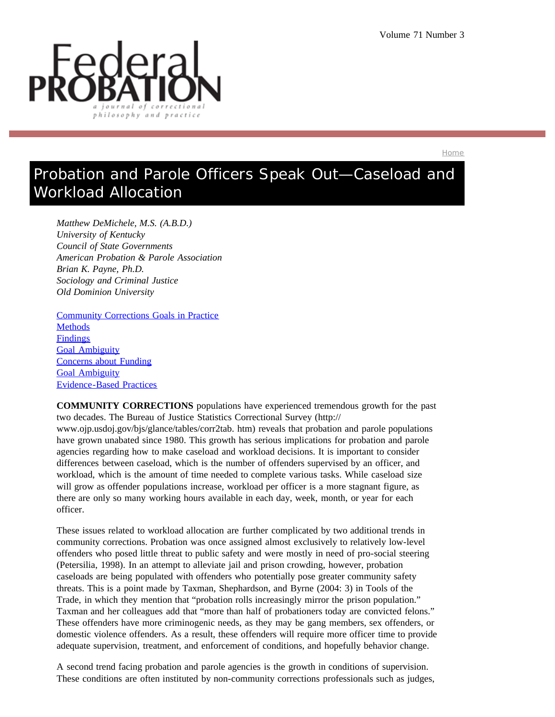

Home

# Probation and Parole Officers Speak Out—Caseload and Workload Allocation

*Matthew DeMichele, M.S. (A.B.D.) University of Kentucky Council of State Governments American Probation & Parole Association Brian K. Payne, Ph.D. Sociology and Criminal Justice Old Dominion University*

Community Corrections Goals in Practice **Methods Findings** Goal Ambiguity Concerns about Funding Goal Ambiguity Evidence-Based Practices

**COMMUNITY CORRECTIONS** populations have experienced tremendous growth for the past two decades. The Bureau of Justice Statistics Correctional Survey (http:// www.ojp.usdoj.gov/bjs/glance/tables/corr2tab. htm) reveals that probation and parole populations have grown unabated since 1980. This growth has serious implications for probation and parole agencies regarding how to make caseload and workload decisions. It is important to consider differences between caseload, which is the number of offenders supervised by an officer, and workload, which is the amount of time needed to complete various tasks. While caseload size will grow as offender populations increase, workload per officer is a more stagnant figure, as there are only so many working hours available in each day, week, month, or year for each officer.

These issues related to workload allocation are further complicated by two additional trends in community corrections. Probation was once assigned almost exclusively to relatively low-level offenders who posed little threat to public safety and were mostly in need of pro-social steering (Petersilia, 1998). In an attempt to alleviate jail and prison crowding, however, probation caseloads are being populated with offenders who potentially pose greater community safety threats. This is a point made by Taxman, Shephardson, and Byrne (2004: 3) in Tools of the Trade, in which they mention that "probation rolls increasingly mirror the prison population." Taxman and her colleagues add that "more than half of probationers today are convicted felons." These offenders have more criminogenic needs, as they may be gang members, sex offenders, or domestic violence offenders. As a result, these offenders will require more officer time to provide adequate supervision, treatment, and enforcement of conditions, and hopefully behavior change.

A second trend facing probation and parole agencies is the growth in conditions of supervision. These conditions are often instituted by non-community corrections professionals such as judges,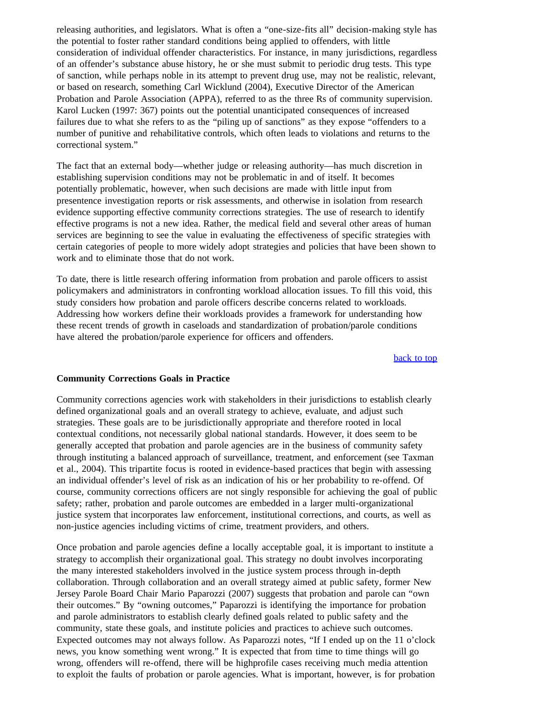releasing authorities, and legislators. What is often a "one-size-fits all" decision-making style has the potential to foster rather standard conditions being applied to offenders, with little consideration of individual offender characteristics. For instance, in many jurisdictions, regardless of an offender's substance abuse history, he or she must submit to periodic drug tests. This type of sanction, while perhaps noble in its attempt to prevent drug use, may not be realistic, relevant, or based on research, something Carl Wicklund (2004), Executive Director of the American Probation and Parole Association (APPA), referred to as the three Rs of community supervision. Karol Lucken (1997: 367) points out the potential unanticipated consequences of increased failures due to what she refers to as the "piling up of sanctions" as they expose "offenders to a number of punitive and rehabilitative controls, which often leads to violations and returns to the correctional system."

The fact that an external body—whether judge or releasing authority—has much discretion in establishing supervision conditions may not be problematic in and of itself. It becomes potentially problematic, however, when such decisions are made with little input from presentence investigation reports or risk assessments, and otherwise in isolation from research evidence supporting effective community corrections strategies. The use of research to identify effective programs is not a new idea. Rather, the medical field and several other areas of human services are beginning to see the value in evaluating the effectiveness of specific strategies with certain categories of people to more widely adopt strategies and policies that have been shown to work and to eliminate those that do not work.

To date, there is little research offering information from probation and parole officers to assist policymakers and administrators in confronting workload allocation issues. To fill this void, this study considers how probation and parole officers describe concerns related to workloads. Addressing how workers define their workloads provides a framework for understanding how these recent trends of growth in caseloads and standardization of probation/parole conditions have altered the probation/parole experience for officers and offenders.

back to top

#### **Community Corrections Goals in Practice**

Community corrections agencies work with stakeholders in their jurisdictions to establish clearly defined organizational goals and an overall strategy to achieve, evaluate, and adjust such strategies. These goals are to be jurisdictionally appropriate and therefore rooted in local contextual conditions, not necessarily global national standards. However, it does seem to be generally accepted that probation and parole agencies are in the business of community safety through instituting a balanced approach of surveillance, treatment, and enforcement (see Taxman et al., 2004). This tripartite focus is rooted in evidence-based practices that begin with assessing an individual offender's level of risk as an indication of his or her probability to re-offend. Of course, community corrections officers are not singly responsible for achieving the goal of public safety; rather, probation and parole outcomes are embedded in a larger multi-organizational justice system that incorporates law enforcement, institutional corrections, and courts, as well as non-justice agencies including victims of crime, treatment providers, and others.

Once probation and parole agencies define a locally acceptable goal, it is important to institute a strategy to accomplish their organizational goal. This strategy no doubt involves incorporating the many interested stakeholders involved in the justice system process through in-depth collaboration. Through collaboration and an overall strategy aimed at public safety, former New Jersey Parole Board Chair Mario Paparozzi (2007) suggests that probation and parole can "own their outcomes." By "owning outcomes," Paparozzi is identifying the importance for probation and parole administrators to establish clearly defined goals related to public safety and the community, state these goals, and institute policies and practices to achieve such outcomes. Expected outcomes may not always follow. As Paparozzi notes, "If I ended up on the 11 o'clock news, you know something went wrong." It is expected that from time to time things will go wrong, offenders will re-offend, there will be highprofile cases receiving much media attention to exploit the faults of probation or parole agencies. What is important, however, is for probation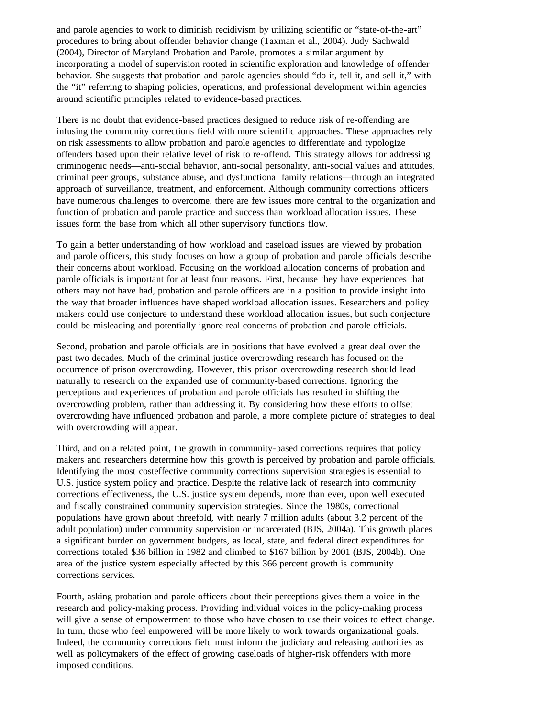and parole agencies to work to diminish recidivism by utilizing scientific or "state-of-the-art" procedures to bring about offender behavior change (Taxman et al., 2004). Judy Sachwald (2004), Director of Maryland Probation and Parole, promotes a similar argument by incorporating a model of supervision rooted in scientific exploration and knowledge of offender behavior. She suggests that probation and parole agencies should "do it, tell it, and sell it," with the "it" referring to shaping policies, operations, and professional development within agencies around scientific principles related to evidence-based practices.

There is no doubt that evidence-based practices designed to reduce risk of re-offending are infusing the community corrections field with more scientific approaches. These approaches rely on risk assessments to allow probation and parole agencies to differentiate and typologize offenders based upon their relative level of risk to re-offend. This strategy allows for addressing criminogenic needs—anti-social behavior, anti-social personality, anti-social values and attitudes, criminal peer groups, substance abuse, and dysfunctional family relations—through an integrated approach of surveillance, treatment, and enforcement. Although community corrections officers have numerous challenges to overcome, there are few issues more central to the organization and function of probation and parole practice and success than workload allocation issues. These issues form the base from which all other supervisory functions flow.

To gain a better understanding of how workload and caseload issues are viewed by probation and parole officers, this study focuses on how a group of probation and parole officials describe their concerns about workload. Focusing on the workload allocation concerns of probation and parole officials is important for at least four reasons. First, because they have experiences that others may not have had, probation and parole officers are in a position to provide insight into the way that broader influences have shaped workload allocation issues. Researchers and policy makers could use conjecture to understand these workload allocation issues, but such conjecture could be misleading and potentially ignore real concerns of probation and parole officials.

Second, probation and parole officials are in positions that have evolved a great deal over the past two decades. Much of the criminal justice overcrowding research has focused on the occurrence of prison overcrowding. However, this prison overcrowding research should lead naturally to research on the expanded use of community-based corrections. Ignoring the perceptions and experiences of probation and parole officials has resulted in shifting the overcrowding problem, rather than addressing it. By considering how these efforts to offset overcrowding have influenced probation and parole, a more complete picture of strategies to deal with overcrowding will appear.

Third, and on a related point, the growth in community-based corrections requires that policy makers and researchers determine how this growth is perceived by probation and parole officials. Identifying the most costeffective community corrections supervision strategies is essential to U.S. justice system policy and practice. Despite the relative lack of research into community corrections effectiveness, the U.S. justice system depends, more than ever, upon well executed and fiscally constrained community supervision strategies. Since the 1980s, correctional populations have grown about threefold, with nearly 7 million adults (about 3.2 percent of the adult population) under community supervision or incarcerated (BJS, 2004a). This growth places a significant burden on government budgets, as local, state, and federal direct expenditures for corrections totaled \$36 billion in 1982 and climbed to \$167 billion by 2001 (BJS, 2004b). One area of the justice system especially affected by this 366 percent growth is community corrections services.

Fourth, asking probation and parole officers about their perceptions gives them a voice in the research and policy-making process. Providing individual voices in the policy-making process will give a sense of empowerment to those who have chosen to use their voices to effect change. In turn, those who feel empowered will be more likely to work towards organizational goals. Indeed, the community corrections field must inform the judiciary and releasing authorities as well as policymakers of the effect of growing caseloads of higher-risk offenders with more imposed conditions.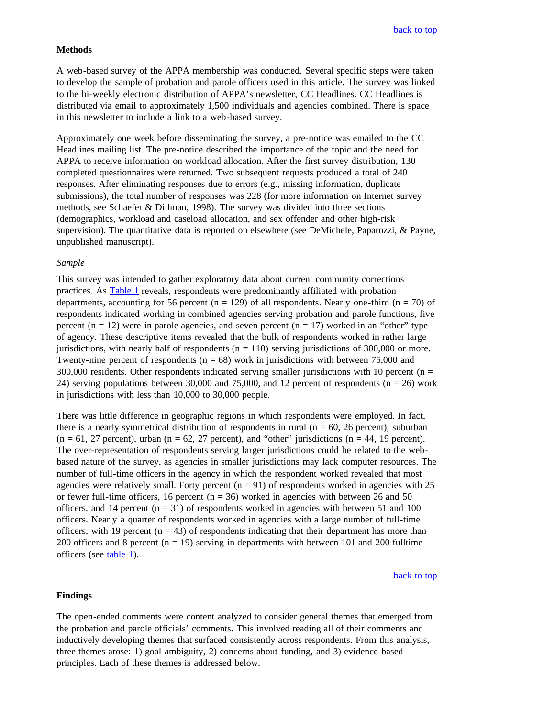#### **Methods**

A web-based survey of the APPA membership was conducted. Several specific steps were taken to develop the sample of probation and parole officers used in this article. The survey was linked to the bi-weekly electronic distribution of APPA's newsletter, CC Headlines. CC Headlines is distributed via email to approximately 1,500 individuals and agencies combined. There is space in this newsletter to include a link to a web-based survey.

Approximately one week before disseminating the survey, a pre-notice was emailed to the CC Headlines mailing list. The pre-notice described the importance of the topic and the need for APPA to receive information on workload allocation. After the first survey distribution, 130 completed questionnaires were returned. Two subsequent requests produced a total of 240 responses. After eliminating responses due to errors (e.g., missing information, duplicate submissions), the total number of responses was 228 (for more information on Internet survey methods, see Schaefer & Dillman, 1998). The survey was divided into three sections (demographics, workload and caseload allocation, and sex offender and other high-risk supervision). The quantitative data is reported on elsewhere (see DeMichele, Paparozzi, & Payne, unpublished manuscript).

### *Sample*

This survey was intended to gather exploratory data about current community corrections practices. As Table 1 reveals, respondents were predominantly affiliated with probation departments, accounting for 56 percent ( $n = 129$ ) of all respondents. Nearly one-third ( $n = 70$ ) of respondents indicated working in combined agencies serving probation and parole functions, five percent  $(n = 12)$  were in parole agencies, and seven percent  $(n = 17)$  worked in an "other" type of agency. These descriptive items revealed that the bulk of respondents worked in rather large jurisdictions, with nearly half of respondents  $(n = 110)$  serving jurisdictions of 300,000 or more. Twenty-nine percent of respondents ( $n = 68$ ) work in jurisdictions with between 75,000 and  $300,000$  residents. Other respondents indicated serving smaller jurisdictions with 10 percent ( $n =$ 24) serving populations between 30,000 and 75,000, and 12 percent of respondents ( $n = 26$ ) work in jurisdictions with less than 10,000 to 30,000 people.

There was little difference in geographic regions in which respondents were employed. In fact, there is a nearly symmetrical distribution of respondents in rural ( $n = 60$ , 26 percent), suburban  $(n = 61, 27 \text{ percent})$ , urban  $(n = 62, 27 \text{ percent})$ , and "other" jurisdictions  $(n = 44, 19 \text{ percent})$ . The over-representation of respondents serving larger jurisdictions could be related to the webbased nature of the survey, as agencies in smaller jurisdictions may lack computer resources. The number of full-time officers in the agency in which the respondent worked revealed that most agencies were relatively small. Forty percent  $(n = 91)$  of respondents worked in agencies with 25 or fewer full-time officers, 16 percent ( $n = 36$ ) worked in agencies with between 26 and 50 officers, and 14 percent  $(n = 31)$  of respondents worked in agencies with between 51 and 100 officers. Nearly a quarter of respondents worked in agencies with a large number of full-time officers, with 19 percent  $(n = 43)$  of respondents indicating that their department has more than 200 officers and 8 percent  $(n = 19)$  serving in departments with between 101 and 200 fulltime officers (see table 1).

#### back to top

#### **Findings**

The open-ended comments were content analyzed to consider general themes that emerged from the probation and parole officials' comments. This involved reading all of their comments and inductively developing themes that surfaced consistently across respondents. From this analysis, three themes arose: 1) goal ambiguity, 2) concerns about funding, and 3) evidence-based principles. Each of these themes is addressed below.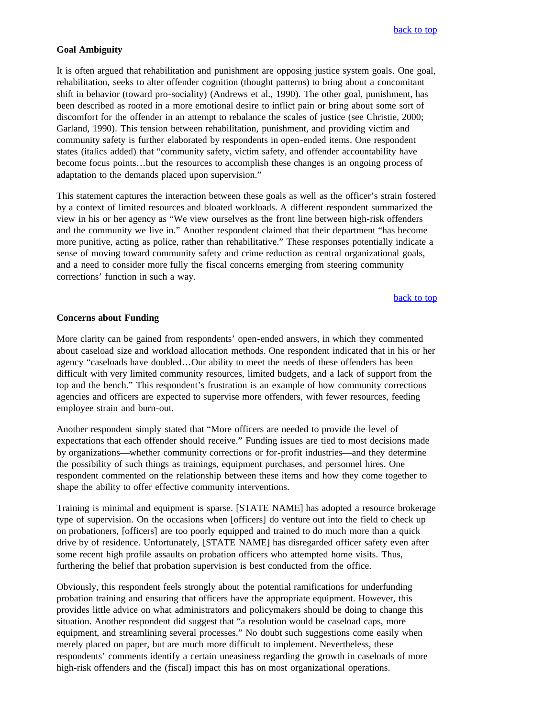#### **Goal Ambiguity**

It is often argued that rehabilitation and punishment are opposing justice system goals. One goal, rehabilitation, seeks to alter offender cognition (thought patterns) to bring about a concomitant shift in behavior (toward pro-sociality) (Andrews et al., 1990). The other goal, punishment, has been described as rooted in a more emotional desire to inflict pain or bring about some sort of discomfort for the offender in an attempt to rebalance the scales of justice (see Christie, 2000; Garland, 1990). This tension between rehabilitation, punishment, and providing victim and community safety is further elaborated by respondents in open-ended items. One respondent states (italics added) that "community safety, victim safety, and offender accountability have become focus points…but the resources to accomplish these changes is an ongoing process of adaptation to the demands placed upon supervision."

This statement captures the interaction between these goals as well as the officer's strain fostered by a context of limited resources and bloated workloads. A different respondent summarized the view in his or her agency as "We view ourselves as the front line between high-risk offenders and the community we live in." Another respondent claimed that their department "has become more punitive, acting as police, rather than rehabilitative." These responses potentially indicate a sense of moving toward community safety and crime reduction as central organizational goals, and a need to consider more fully the fiscal concerns emerging from steering community corrections' function in such a way.

back to top

#### **Concerns about Funding**

More clarity can be gained from respondents' open-ended answers, in which they commented about caseload size and workload allocation methods. One respondent indicated that in his or her agency "caseloads have doubled…Our ability to meet the needs of these offenders has been difficult with very limited community resources, limited budgets, and a lack of support from the top and the bench." This respondent's frustration is an example of how community corrections agencies and officers are expected to supervise more offenders, with fewer resources, feeding employee strain and burn-out.

Another respondent simply stated that "More officers are needed to provide the level of expectations that each offender should receive." Funding issues are tied to most decisions made by organizations—whether community corrections or for-profit industries—and they determine the possibility of such things as trainings, equipment purchases, and personnel hires. One respondent commented on the relationship between these items and how they come together to shape the ability to offer effective community interventions.

Training is minimal and equipment is sparse. [STATE NAME] has adopted a resource brokerage type of supervision. On the occasions when [officers] do venture out into the field to check up on probationers, [officers] are too poorly equipped and trained to do much more than a quick drive by of residence. Unfortunately, [STATE NAME] has disregarded officer safety even after some recent high profile assaults on probation officers who attempted home visits. Thus, furthering the belief that probation supervision is best conducted from the office.

Obviously, this respondent feels strongly about the potential ramifications for underfunding probation training and ensuring that officers have the appropriate equipment. However, this provides little advice on what administrators and policymakers should be doing to change this situation. Another respondent did suggest that "a resolution would be caseload caps, more equipment, and streamlining several processes." No doubt such suggestions come easily when merely placed on paper, but are much more difficult to implement. Nevertheless, these respondents' comments identify a certain uneasiness regarding the growth in caseloads of more high-risk offenders and the (fiscal) impact this has on most organizational operations.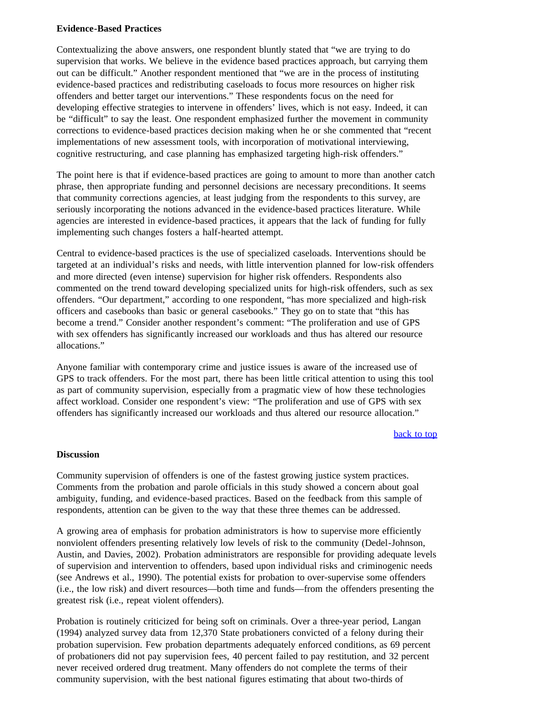### **Evidence-Based Practices**

Contextualizing the above answers, one respondent bluntly stated that "we are trying to do supervision that works. We believe in the evidence based practices approach, but carrying them out can be difficult." Another respondent mentioned that "we are in the process of instituting evidence-based practices and redistributing caseloads to focus more resources on higher risk offenders and better target our interventions." These respondents focus on the need for developing effective strategies to intervene in offenders' lives, which is not easy. Indeed, it can be "difficult" to say the least. One respondent emphasized further the movement in community corrections to evidence-based practices decision making when he or she commented that "recent implementations of new assessment tools, with incorporation of motivational interviewing, cognitive restructuring, and case planning has emphasized targeting high-risk offenders."

The point here is that if evidence-based practices are going to amount to more than another catch phrase, then appropriate funding and personnel decisions are necessary preconditions. It seems that community corrections agencies, at least judging from the respondents to this survey, are seriously incorporating the notions advanced in the evidence-based practices literature. While agencies are interested in evidence-based practices, it appears that the lack of funding for fully implementing such changes fosters a half-hearted attempt.

Central to evidence-based practices is the use of specialized caseloads. Interventions should be targeted at an individual's risks and needs, with little intervention planned for low-risk offenders and more directed (even intense) supervision for higher risk offenders. Respondents also commented on the trend toward developing specialized units for high-risk offenders, such as sex offenders. "Our department," according to one respondent, "has more specialized and high-risk officers and casebooks than basic or general casebooks." They go on to state that "this has become a trend." Consider another respondent's comment: "The proliferation and use of GPS with sex offenders has significantly increased our workloads and thus has altered our resource allocations."

Anyone familiar with contemporary crime and justice issues is aware of the increased use of GPS to track offenders. For the most part, there has been little critical attention to using this tool as part of community supervision, especially from a pragmatic view of how these technologies affect workload. Consider one respondent's view: "The proliferation and use of GPS with sex offenders has significantly increased our workloads and thus altered our resource allocation."

#### back to top

#### **Discussion**

Community supervision of offenders is one of the fastest growing justice system practices. Comments from the probation and parole officials in this study showed a concern about goal ambiguity, funding, and evidence-based practices. Based on the feedback from this sample of respondents, attention can be given to the way that these three themes can be addressed.

A growing area of emphasis for probation administrators is how to supervise more efficiently nonviolent offenders presenting relatively low levels of risk to the community (Dedel-Johnson, Austin, and Davies, 2002). Probation administrators are responsible for providing adequate levels of supervision and intervention to offenders, based upon individual risks and criminogenic needs (see Andrews et al., 1990). The potential exists for probation to over-supervise some offenders (i.e., the low risk) and divert resources—both time and funds—from the offenders presenting the greatest risk (i.e., repeat violent offenders).

Probation is routinely criticized for being soft on criminals. Over a three-year period, Langan (1994) analyzed survey data from 12,370 State probationers convicted of a felony during their probation supervision. Few probation departments adequately enforced conditions, as 69 percent of probationers did not pay supervision fees, 40 percent failed to pay restitution, and 32 percent never received ordered drug treatment. Many offenders do not complete the terms of their community supervision, with the best national figures estimating that about two-thirds of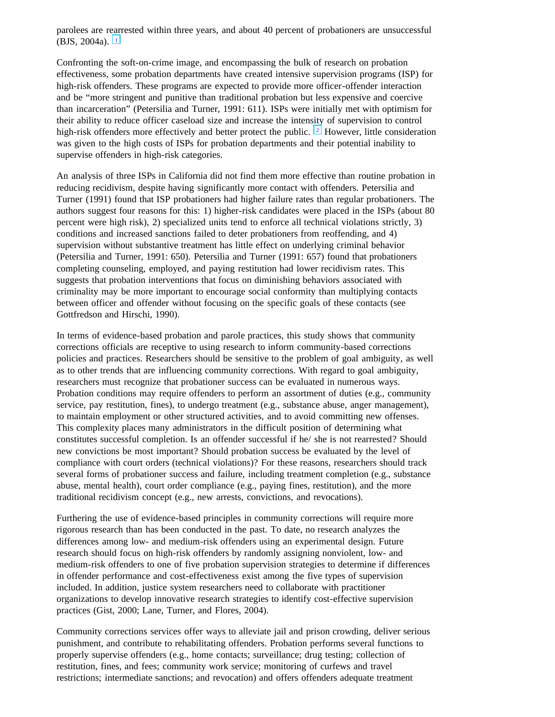parolees are rearrested within three years, and about 40 percent of probationers are unsuccessful (BJS, 2004a).  $\boxed{1}$ 

Confronting the soft-on-crime image, and encompassing the bulk of research on probation effectiveness, some probation departments have created intensive supervision programs (ISP) for high-risk offenders. These programs are expected to provide more officer-offender interaction and be "more stringent and punitive than traditional probation but less expensive and coercive than incarceration" (Petersilia and Turner, 1991: 611). ISPs were initially met with optimism for their ability to reduce officer caseload size and increase the intensity of supervision to control high-risk offenders more effectively and better protect the public.  $\lfloor 2 \rfloor$  However, little consideration was given to the high costs of ISPs for probation departments and their potential inability to supervise offenders in high-risk categories.

An analysis of three ISPs in California did not find them more effective than routine probation in reducing recidivism, despite having significantly more contact with offenders. Petersilia and Turner (1991) found that ISP probationers had higher failure rates than regular probationers. The authors suggest four reasons for this: 1) higher-risk candidates were placed in the ISPs (about 80 percent were high risk), 2) specialized units tend to enforce all technical violations strictly, 3) conditions and increased sanctions failed to deter probationers from reoffending, and 4) supervision without substantive treatment has little effect on underlying criminal behavior (Petersilia and Turner, 1991: 650). Petersilia and Turner (1991: 657) found that probationers completing counseling, employed, and paying restitution had lower recidivism rates. This suggests that probation interventions that focus on diminishing behaviors associated with criminality may be more important to encourage social conformity than multiplying contacts between officer and offender without focusing on the specific goals of these contacts (see Gottfredson and Hirschi, 1990).

In terms of evidence-based probation and parole practices, this study shows that community corrections officials are receptive to using research to inform community-based corrections policies and practices. Researchers should be sensitive to the problem of goal ambiguity, as well as to other trends that are influencing community corrections. With regard to goal ambiguity, researchers must recognize that probationer success can be evaluated in numerous ways. Probation conditions may require offenders to perform an assortment of duties (e.g., community service, pay restitution, fines), to undergo treatment (e.g., substance abuse, anger management), to maintain employment or other structured activities, and to avoid committing new offenses. This complexity places many administrators in the difficult position of determining what constitutes successful completion. Is an offender successful if he/ she is not rearrested? Should new convictions be most important? Should probation success be evaluated by the level of compliance with court orders (technical violations)? For these reasons, researchers should track several forms of probationer success and failure, including treatment completion (e.g., substance abuse, mental health), court order compliance (e.g., paying fines, restitution), and the more traditional recidivism concept (e.g., new arrests, convictions, and revocations).

Furthering the use of evidence-based principles in community corrections will require more rigorous research than has been conducted in the past. To date, no research analyzes the differences among low- and medium-risk offenders using an experimental design. Future research should focus on high-risk offenders by randomly assigning nonviolent, low- and medium-risk offenders to one of five probation supervision strategies to determine if differences in offender performance and cost-effectiveness exist among the five types of supervision included. In addition, justice system researchers need to collaborate with practitioner organizations to develop innovative research strategies to identify cost-effective supervision practices (Gist, 2000; Lane, Turner, and Flores, 2004).

Community corrections services offer ways to alleviate jail and prison crowding, deliver serious punishment, and contribute to rehabilitating offenders. Probation performs several functions to properly supervise offenders (e.g., home contacts; surveillance; drug testing; collection of restitution, fines, and fees; community work service; monitoring of curfews and travel restrictions; intermediate sanctions; and revocation) and offers offenders adequate treatment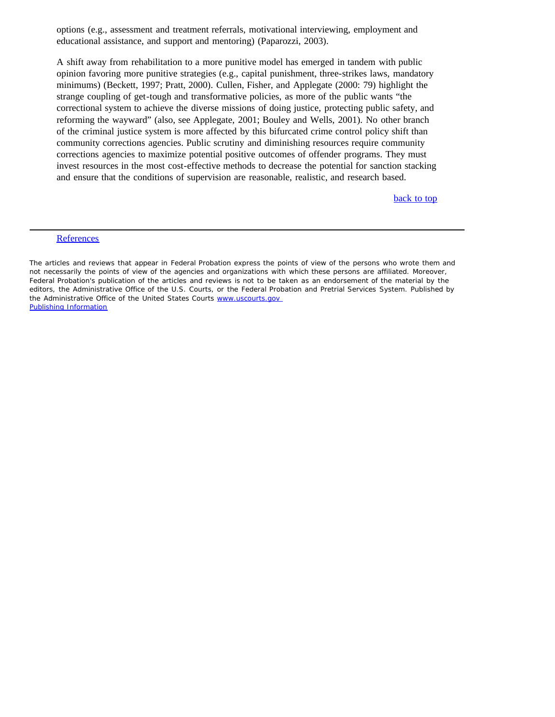options (e.g., assessment and treatment referrals, motivational interviewing, employment and educational assistance, and support and mentoring) (Paparozzi, 2003).

A shift away from rehabilitation to a more punitive model has emerged in tandem with public opinion favoring more punitive strategies (e.g., capital punishment, three-strikes laws, mandatory minimums) (Beckett, 1997; Pratt, 2000). Cullen, Fisher, and Applegate (2000: 79) highlight the strange coupling of get-tough and transformative policies, as more of the public wants "the correctional system to achieve the diverse missions of doing justice, protecting public safety, and reforming the wayward" (also, see Applegate, 2001; Bouley and Wells, 2001). No other branch of the criminal justice system is more affected by this bifurcated crime control policy shift than community corrections agencies. Public scrutiny and diminishing resources require community corrections agencies to maximize potential positive outcomes of offender programs. They must invest resources in the most cost-effective methods to decrease the potential for sanction stacking and ensure that the conditions of supervision are reasonable, realistic, and research based.

back to top

#### **References**

The articles and reviews that appear in *Federal Probation* express the points of view of the persons who wrote them and not necessarily the points of view of the agencies and organizations with which these persons are affiliated. Moreover, *Federal Probation's* publication of the articles and reviews is not to be taken as an endorsement of the material by the editors, the Administrative Office of the U.S. Courts, or the Federal Probation and Pretrial Services System. Published by the Administrative Office of the United States Courts www.uscourts.gov Publishing Information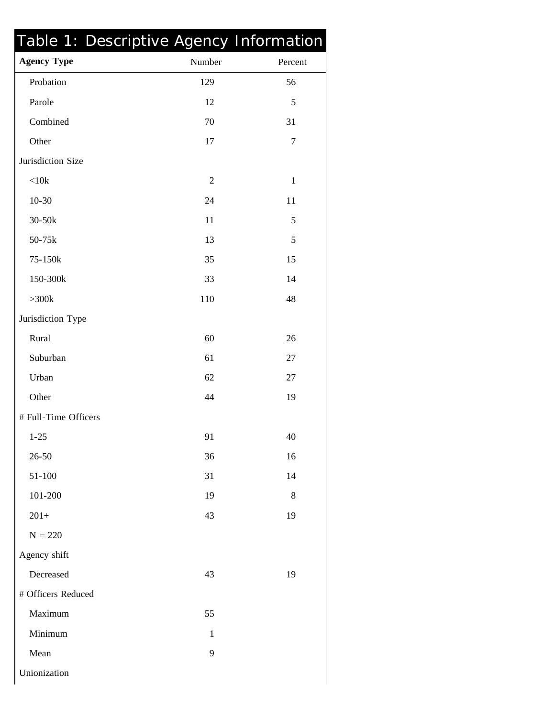| Table 1: Descriptive Agency Information |                |              |
|-----------------------------------------|----------------|--------------|
| <b>Agency Type</b>                      | Number         | Percent      |
| Probation                               | 129            | 56           |
| Parole                                  | 12             | 5            |
| Combined                                | 70             | 31           |
| Other                                   | 17             | $\tau$       |
| Jurisdiction Size                       |                |              |
| < 10k                                   | $\overline{2}$ | $\mathbf{1}$ |
| $10 - 30$                               | 24             | 11           |
| 30-50k                                  | 11             | 5            |
| 50-75k                                  | 13             | 5            |
| 75-150k                                 | 35             | 15           |
| 150-300k                                | 33             | 14           |
| $>300k$                                 | 110            | 48           |
| Jurisdiction Type                       |                |              |
| Rural                                   | 60             | 26           |
| Suburban                                | 61             | 27           |
| Urban                                   | 62             | 27           |
| Other                                   | 44             | 19           |
| # Full-Time Officers                    |                |              |
| $1 - 25$                                | 91             | 40           |
| 26-50                                   | 36             | 16           |
| 51-100                                  | 31             | 14           |
| 101-200                                 | 19             | 8            |
| $201+$                                  | 43             | 19           |
| $N = 220$                               |                |              |
| Agency shift                            |                |              |
| Decreased                               | 43             | 19           |
| # Officers Reduced                      |                |              |
| Maximum                                 | 55             |              |
| Minimum                                 | $\mathbf{1}$   |              |
| Mean                                    | 9              |              |
| Unionization                            |                |              |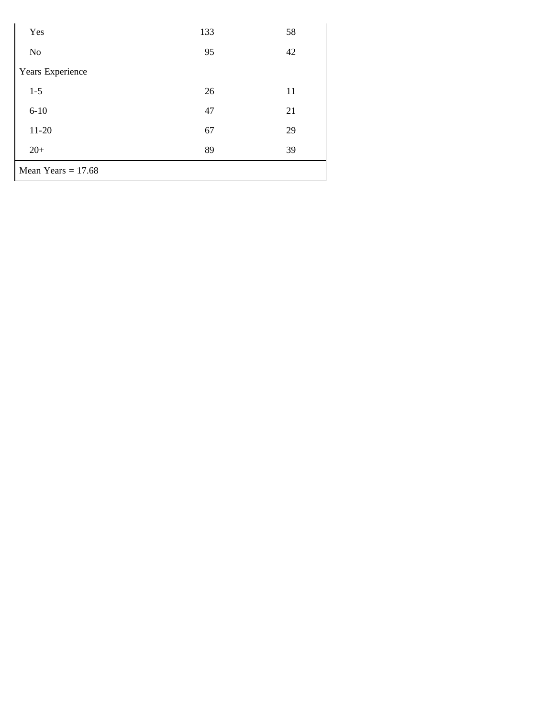| Yes                  | 133 | 58 |  |
|----------------------|-----|----|--|
| No                   | 95  | 42 |  |
| Years Experience     |     |    |  |
| $1 - 5$              | 26  | 11 |  |
| $6 - 10$             | 47  | 21 |  |
| $11 - 20$            | 67  | 29 |  |
| $20+$                | 89  | 39 |  |
| Mean Years $= 17.68$ |     |    |  |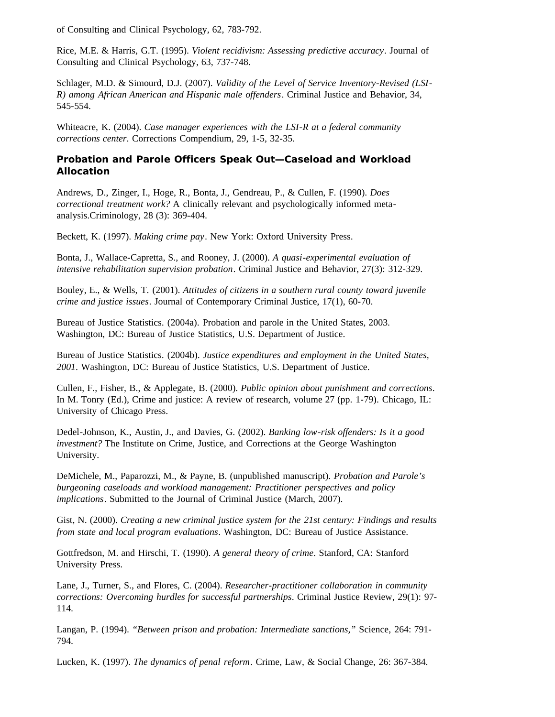of Consulting and Clinical Psychology, 62, 783-792.

Rice, M.E. & Harris, G.T. (1995). *Violent recidivism: Assessing predictive accuracy*. Journal of Consulting and Clinical Psychology, 63, 737-748.

Schlager, M.D. & Simourd, D.J. (2007). *Validity of the Level of Service Inventory-Revised (LSI-R) among African American and Hispanic male offenders*. Criminal Justice and Behavior, 34, 545-554.

Whiteacre, K. (2004). *Case manager experiences with the LSI-R at a federal community corrections center*. Corrections Compendium, 29, 1-5, 32-35.

### **Probation and Parole Officers Speak Out—Caseload and Workload Allocation**

Andrews, D., Zinger, I., Hoge, R., Bonta, J., Gendreau, P., & Cullen, F. (1990). *Does correctional treatment work?* A clinically relevant and psychologically informed metaanalysis.Criminology, 28 (3): 369-404.

Beckett, K. (1997). *Making crime pay*. New York: Oxford University Press.

Bonta, J., Wallace-Capretta, S., and Rooney, J. (2000). *A quasi-experimental evaluation of intensive rehabilitation supervision probation*. Criminal Justice and Behavior, 27(3): 312-329.

Bouley, E., & Wells, T. (2001). *Attitudes of citizens in a southern rural county toward juvenile crime and justice issues*. Journal of Contemporary Criminal Justice, 17(1), 60-70.

Bureau of Justice Statistics. (2004a). Probation and parole in the United States, 2003. Washington, DC: Bureau of Justice Statistics, U.S. Department of Justice.

Bureau of Justice Statistics. (2004b). *Justice expenditures and employment in the United States, 2001*. Washington, DC: Bureau of Justice Statistics, U.S. Department of Justice.

Cullen, F., Fisher, B., & Applegate, B. (2000). *Public opinion about punishment and corrections*. In M. Tonry (Ed.), Crime and justice: A review of research, volume 27 (pp. 1-79). Chicago, IL: University of Chicago Press.

Dedel-Johnson, K., Austin, J., and Davies, G. (2002). *Banking low-risk offenders: Is it a good investment?* The Institute on Crime, Justice, and Corrections at the George Washington University.

DeMichele, M., Paparozzi, M., & Payne, B. (unpublished manuscript). *Probation and Parole's burgeoning caseloads and workload management: Practitioner perspectives and policy implications*. Submitted to the Journal of Criminal Justice (March, 2007).

Gist, N. (2000). *Creating a new criminal justice system for the 21st century: Findings and results from state and local program evaluations*. Washington, DC: Bureau of Justice Assistance.

Gottfredson, M. and Hirschi, T. (1990). *A general theory of crime*. Stanford, CA: Stanford University Press.

Lane, J., Turner, S., and Flores, C. (2004). *Researcher-practitioner collaboration in community corrections: Overcoming hurdles for successful partnerships*. Criminal Justice Review, 29(1): 97- 114.

Langan, P. (1994). *"Between prison and probation: Intermediate sanctions,"* Science, 264: 791- 794.

Lucken, K. (1997). *The dynamics of penal reform*. Crime, Law, & Social Change, 26: 367-384.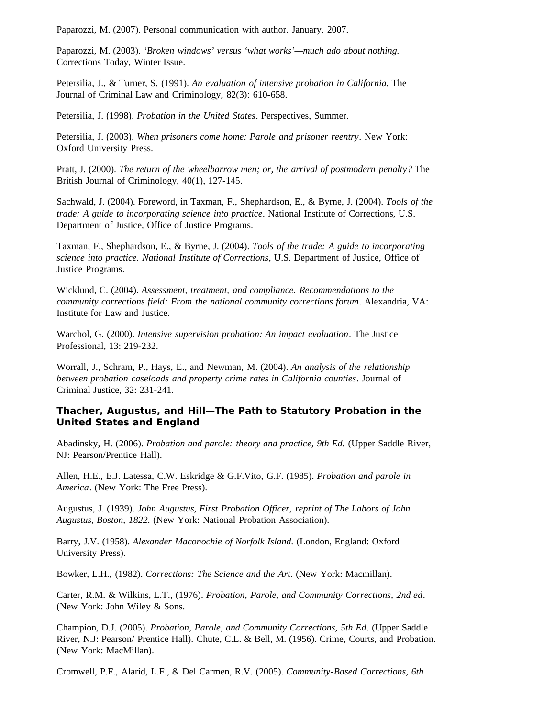Paparozzi, M. (2007). Personal communication with author. January, 2007.

Paparozzi, M. (2003). *'Broken windows' versus 'what works'—much ado about nothing.* Corrections Today, Winter Issue.

Petersilia, J., & Turner, S. (1991). *An evaluation of intensive probation in California.* The Journal of Criminal Law and Criminology, 82(3): 610-658.

Petersilia, J. (1998). *Probation in the United States*. Perspectives, Summer.

Petersilia, J. (2003). *When prisoners come home: Parole and prisoner reentry*. New York: Oxford University Press.

Pratt, J. (2000). *The return of the wheelbarrow men; or, the arrival of postmodern penalty?* The British Journal of Criminology, 40(1), 127-145.

Sachwald, J. (2004). Foreword, in Taxman, F., Shephardson, E., & Byrne, J. (2004). *Tools of the trade: A guide to incorporating science into practice*. National Institute of Corrections, U.S. Department of Justice, Office of Justice Programs.

Taxman, F., Shephardson, E., & Byrne, J. (2004). *Tools of the trade: A guide to incorporating science into practice. National Institute of Corrections*, U.S. Department of Justice, Office of Justice Programs.

Wicklund, C. (2004). *Assessment, treatment, and compliance. Recommendations to the community corrections field: From the national community corrections forum*. Alexandria, VA: Institute for Law and Justice.

Warchol, G. (2000). *Intensive supervision probation: An impact evaluation*. The Justice Professional, 13: 219-232.

Worrall, J., Schram, P., Hays, E., and Newman, M. (2004). *An analysis of the relationship between probation caseloads and property crime rates in California counties*. Journal of Criminal Justice, 32: 231-241.

### **Thacher, Augustus, and Hill—The Path to Statutory Probation in the United States and England**

Abadinsky, H. (2006). *Probation and parole: theory and practice, 9th Ed.* (Upper Saddle River, NJ: Pearson/Prentice Hall).

Allen, H.E., E.J. Latessa, C.W. Eskridge & G.F.Vito, G.F. (1985). *Probation and parole in America*. (New York: The Free Press).

Augustus, J. (1939). *John Augustus, First Probation Officer, reprint of The Labors of John Augustus, Boston, 1822*. (New York: National Probation Association).

Barry, J.V. (1958). *Alexander Maconochie of Norfolk Island*. (London, England: Oxford University Press).

Bowker, L.H., (1982). *Corrections: The Science and the Art*. (New York: Macmillan).

Carter, R.M. & Wilkins, L.T., (1976). *Probation, Parole, and Community Corrections, 2nd ed*. (New York: John Wiley & Sons.

Champion, D.J. (2005). *Probation, Parole, and Community Corrections, 5th Ed*. (Upper Saddle River, N.J: Pearson/ Prentice Hall). Chute, C.L. & Bell, M. (1956). Crime, Courts, and Probation. (New York: MacMillan).

Cromwell, P.F., Alarid, L.F., & Del Carmen, R.V. (2005). *Community-Based Corrections, 6th*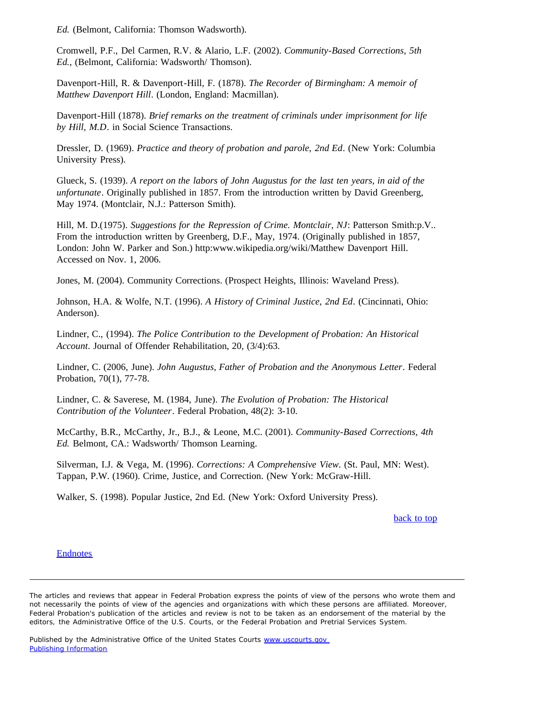*Ed.* (Belmont, California: Thomson Wadsworth).

Cromwell, P.F., Del Carmen, R.V. & Alario, L.F. (2002). *Community-Based Corrections, 5th Ed.,* (Belmont, California: Wadsworth/ Thomson).

Davenport-Hill, R. & Davenport-Hill, F. (1878). *The Recorder of Birmingham: A memoir of Matthew Davenport Hill*. (London, England: Macmillan).

Davenport-Hill (1878). *Brief remarks on the treatment of criminals under imprisonment for life by Hill, M.D*. in Social Science Transactions.

Dressler, D. (1969). *Practice and theory of probation and parole, 2nd Ed*. (New York: Columbia University Press).

Glueck, S. (1939). *A report on the labors of John Augustus for the last ten years, in aid of the unfortunate*. Originally published in 1857. From the introduction written by David Greenberg, May 1974. (Montclair, N.J.: Patterson Smith).

Hill, M. D.(1975). *Suggestions for the Repression of Crime. Montclair, NJ*: Patterson Smith:p.V.. From the introduction written by Greenberg, D.F., May, 1974. (Originally published in 1857, London: John W. Parker and Son.) http:www.wikipedia.org/wiki/Matthew Davenport Hill. Accessed on Nov. 1, 2006.

Jones, M. (2004). Community Corrections. (Prospect Heights, Illinois: Waveland Press).

Johnson, H.A. & Wolfe, N.T. (1996). *A History of Criminal Justice, 2nd Ed*. (Cincinnati, Ohio: Anderson).

Lindner, C., (1994). *The Police Contribution to the Development of Probation: An Historical Account*. Journal of Offender Rehabilitation, 20, (3/4):63.

Lindner, C. (2006, June). *John Augustus, Father of Probation and the Anonymous Letter*. Federal Probation, 70(1), 77-78.

Lindner, C. & Saverese, M. (1984, June). *The Evolution of Probation: The Historical Contribution of the Volunteer*. Federal Probation, 48(2): 3-10.

McCarthy, B.R., McCarthy, Jr., B.J., & Leone, M.C. (2001). *Community-Based Corrections, 4th Ed.* Belmont, CA.: Wadsworth/ Thomson Learning.

Silverman, I.J. & Vega, M. (1996). *Corrections: A Comprehensive View*. (St. Paul, MN: West). Tappan, P.W. (1960). Crime, Justice, and Correction. (New York: McGraw-Hill.

Walker, S. (1998). Popular Justice, 2nd Ed. (New York: Oxford University Press).

back to top

#### **Endnotes**

The articles and reviews that appear in *Federal Probation* express the points of view of the persons who wrote them and not necessarily the points of view of the agencies and organizations with which these persons are affiliated. Moreover, *Federal Probation's* publication of the articles and review is not to be taken as an endorsement of the material by the editors, the Administrative Office of the U.S. Courts, or the Federal Probation and Pretrial Services System.

Published by the Administrative Office of the United States Courts www.uscourts.gov Publishing Information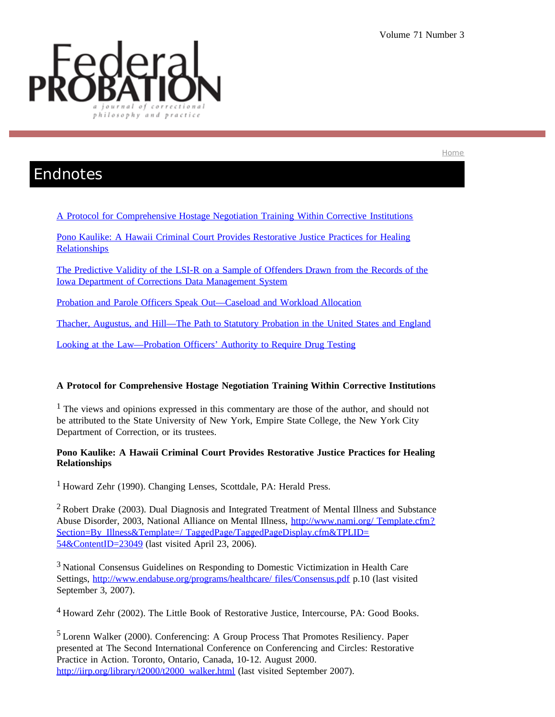Home



## Endnotes

A Protocol for Comprehensive Hostage Negotiation Training Within Corrective Institutions

Pono Kaulike: A Hawaii Criminal Court Provides Restorative Justice Practices for Healing **Relationships** 

The Predictive Validity of the LSI-R on a Sample of Offenders Drawn from the Records of the Iowa Department of Corrections Data Management System

Probation and Parole Officers Speak Out—Caseload and Workload Allocation

Thacher, Augustus, and Hill—The Path to Statutory Probation in the United States and England

Looking at the Law—Probation Officers' Authority to Require Drug Testing

### **A Protocol for Comprehensive Hostage Negotiation Training Within Corrective Institutions**

<sup>1</sup> The views and opinions expressed in this commentary are those of the author, and should not be attributed to the State University of New York, Empire State College, the New York City Department of Correction, or its trustees.

### **Pono Kaulike: A Hawaii Criminal Court Provides Restorative Justice Practices for Healing Relationships**

1 Howard Zehr (1990). Changing Lenses, Scottdale, PA: Herald Press.

<sup>2</sup> Robert Drake (2003). Dual Diagnosis and Integrated Treatment of Mental Illness and Substance Abuse Disorder, 2003, National Alliance on Mental Illness, http://www.nami.org/ Template.cfm? Section=By\_Illness&Template=/ TaggedPage/TaggedPageDisplay.cfm&TPLID= 54&ContentID=23049 (last visited April 23, 2006).

3 National Consensus Guidelines on Responding to Domestic Victimization in Health Care Settings, http://www.endabuse.org/programs/healthcare/ files/Consensus.pdf p.10 (last visited September 3, 2007).

4 Howard Zehr (2002). The Little Book of Restorative Justice, Intercourse, PA: Good Books.

5 Lorenn Walker (2000). Conferencing: A Group Process That Promotes Resiliency. Paper presented at The Second International Conference on Conferencing and Circles: Restorative Practice in Action. Toronto, Ontario, Canada, 10-12. August 2000. http://iirp.org/library/t2000/t2000\_walker.html (last visited September 2007).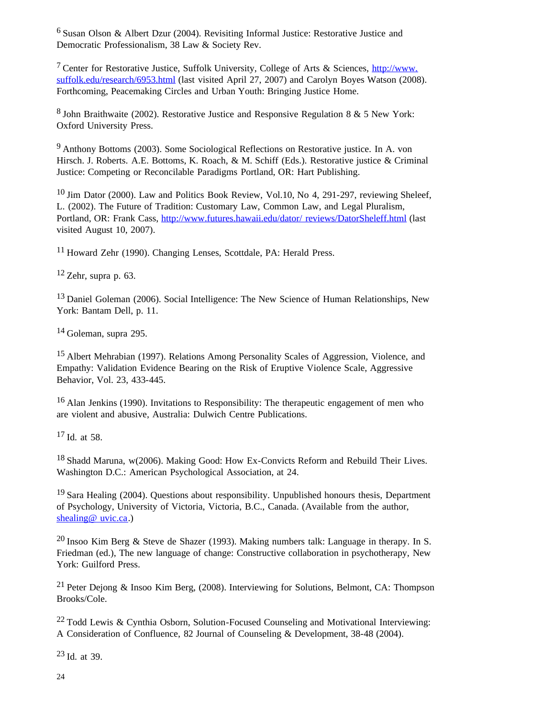6 Susan Olson & Albert Dzur (2004). Revisiting Informal Justice: Restorative Justice and Democratic Professionalism, 38 Law & Society Rev.

<sup>7</sup> Center for Restorative Justice, Suffolk University, College of Arts & Sciences,  $\frac{http://www.}{http://www.}$ suffolk.edu/research/6953.html (last visited April 27, 2007) and Carolyn Boyes Watson (2008). Forthcoming, Peacemaking Circles and Urban Youth: Bringing Justice Home.

 $8$  John Braithwaite (2002). Restorative Justice and Responsive Regulation 8 & 5 New York: Oxford University Press.

9 Anthony Bottoms (2003). Some Sociological Reflections on Restorative justice. In A. von Hirsch. J. Roberts. A.E. Bottoms, K. Roach, & M. Schiff (Eds.). Restorative justice & Criminal Justice: Competing or Reconcilable Paradigms Portland, OR: Hart Publishing.

<sup>10</sup> Jim Dator (2000). Law and Politics Book Review, Vol.10, No 4, 291-297, reviewing Sheleef, L. (2002). The Future of Tradition: Customary Law, Common Law, and Legal Pluralism, Portland, OR: Frank Cass, http://www.futures.hawaii.edu/dator/ reviews/DatorSheleff.html (last visited August 10, 2007).

11 Howard Zehr (1990). Changing Lenses, Scottdale, PA: Herald Press.

 $12$  Zehr, supra p. 63.

<sup>13</sup> Daniel Goleman (2006). Social Intelligence: The New Science of Human Relationships, New York: Bantam Dell, p. 11.

14 Goleman, supra 295.

15 Albert Mehrabian (1997). Relations Among Personality Scales of Aggression, Violence, and Empathy: Validation Evidence Bearing on the Risk of Eruptive Violence Scale, Aggressive Behavior, Vol. 23, 433-445.

<sup>16</sup> Alan Jenkins (1990). Invitations to Responsibility: The therapeutic engagement of men who are violent and abusive, Australia: Dulwich Centre Publications.

17 Id. at 58.

<sup>18</sup> Shadd Maruna, w(2006). Making Good: How Ex-Convicts Reform and Rebuild Their Lives. Washington D.C.: American Psychological Association, at 24.

 $19$  Sara Healing (2004). Ouestions about responsibility. Unpublished honours thesis, Department of Psychology, University of Victoria, Victoria, B.C., Canada. (Available from the author, shealing@ uvic.ca.)

20 Insoo Kim Berg & Steve de Shazer (1993). Making numbers talk: Language in therapy. In S. Friedman (ed.), The new language of change: Constructive collaboration in psychotherapy, New York: Guilford Press.

<sup>21</sup> Peter Dejong & Insoo Kim Berg, (2008). Interviewing for Solutions, Belmont, CA: Thompson Brooks/Cole.

 $22$  Todd Lewis & Cynthia Osborn, Solution-Focused Counseling and Motivational Interviewing: A Consideration of Confluence, 82 Journal of Counseling & Development, 38-48 (2004).

23 Id. at 39.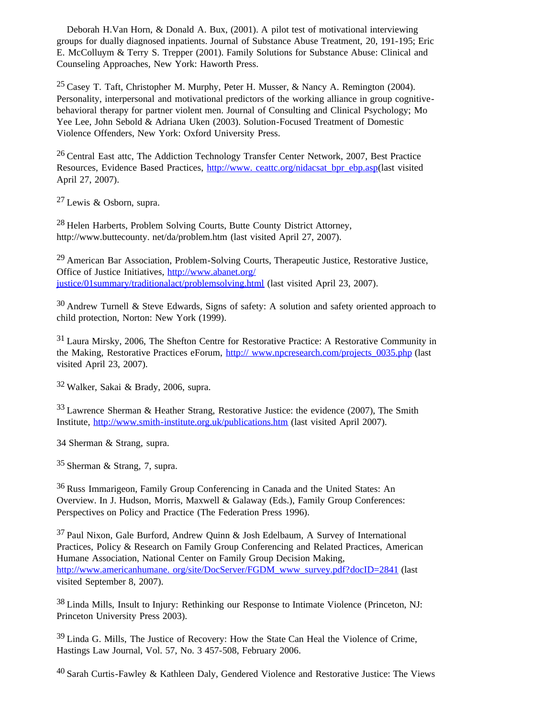Deborah H.Van Horn, & Donald A. Bux, (2001). A pilot test of motivational interviewing groups for dually diagnosed inpatients. Journal of Substance Abuse Treatment, 20, 191-195; Eric E. McColluym & Terry S. Trepper (2001). Family Solutions for Substance Abuse: Clinical and Counseling Approaches, New York: Haworth Press.

<sup>25</sup> Casey T. Taft, Christopher M. Murphy, Peter H. Musser, & Nancy A. Remington (2004). Personality, interpersonal and motivational predictors of the working alliance in group cognitivebehavioral therapy for partner violent men. Journal of Consulting and Clinical Psychology; Mo Yee Lee, John Sebold & Adriana Uken (2003). Solution-Focused Treatment of Domestic Violence Offenders, New York: Oxford University Press.

26 Central East attc, The Addiction Technology Transfer Center Network, 2007, Best Practice Resources, Evidence Based Practices, http://www.ceattc.org/nidacsat\_bpr\_ebp.asp(last visited April 27, 2007).

27 Lewis & Osborn, supra.

28 Helen Harberts, Problem Solving Courts, Butte County District Attorney, http://www.buttecounty. net/da/problem.htm (last visited April 27, 2007).

 $29$  American Bar Association, Problem-Solving Courts, Therapeutic Justice, Restorative Justice, Office of Justice Initiatives, http://www.abanet.org/ justice/01summary/traditionalact/problemsolving.html (last visited April 23, 2007).

 $30$  Andrew Turnell & Steve Edwards, Signs of safety: A solution and safety oriented approach to child protection, Norton: New York (1999).

<sup>31</sup> Laura Mirsky, 2006, The Shefton Centre for Restorative Practice: A Restorative Community in the Making, Restorative Practices eForum, http:// www.npcresearch.com/projects 0035.php (last visited April 23, 2007).

32 Walker, Sakai & Brady, 2006, supra.

33 Lawrence Sherman & Heather Strang, Restorative Justice: the evidence (2007), The Smith Institute, http://www.smith-institute.org.uk/publications.htm (last visited April 2007).

34 Sherman & Strang, supra.

35 Sherman & Strang, 7, supra.

36 Russ Immarigeon, Family Group Conferencing in Canada and the United States: An Overview. In J. Hudson, Morris, Maxwell & Galaway (Eds.), Family Group Conferences: Perspectives on Policy and Practice (The Federation Press 1996).

37 Paul Nixon, Gale Burford, Andrew Quinn & Josh Edelbaum, A Survey of International Practices, Policy & Research on Family Group Conferencing and Related Practices, American Humane Association, National Center on Family Group Decision Making, http://www.americanhumane.org/site/DocServer/FGDM\_www\_survey.pdf?docID=2841 (last visited September 8, 2007).

38 Linda Mills, Insult to Injury: Rethinking our Response to Intimate Violence (Princeton, NJ: Princeton University Press 2003).

39 Linda G. Mills, The Justice of Recovery: How the State Can Heal the Violence of Crime, Hastings Law Journal, Vol. 57, No. 3 457-508, February 2006.

40 Sarah Curtis-Fawley & Kathleen Daly, Gendered Violence and Restorative Justice: The Views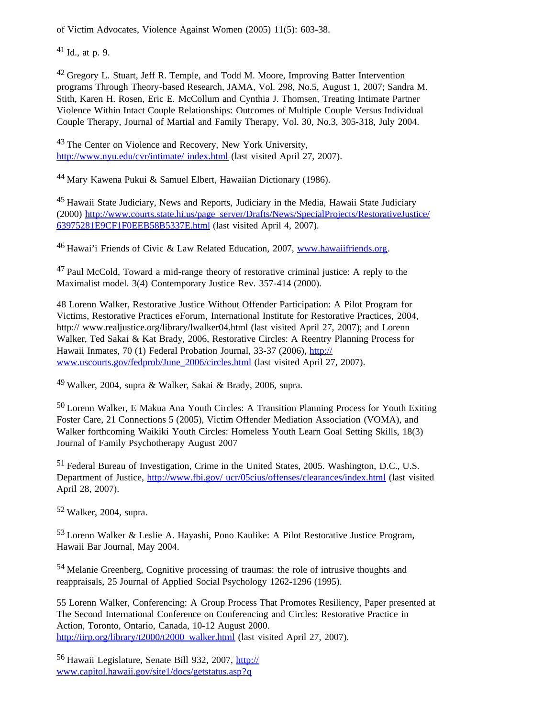of Victim Advocates, Violence Against Women (2005) 11(5): 603-38.

 $41$  Id., at p. 9.

<sup>42</sup> Gregory L. Stuart, Jeff R. Temple, and Todd M. Moore, Improving Batter Intervention programs Through Theory-based Research, JAMA, Vol. 298, No.5, August 1, 2007; Sandra M. Stith, Karen H. Rosen, Eric E. McCollum and Cynthia J. Thomsen, Treating Intimate Partner Violence Within Intact Couple Relationships: Outcomes of Multiple Couple Versus Individual Couple Therapy, Journal of Martial and Family Therapy, Vol. 30, No.3, 305-318, July 2004.

<sup>43</sup> The Center on Violence and Recovery, New York University, http://www.nyu.edu/cvr/intimate/ index.html (last visited April 27, 2007).

44 Mary Kawena Pukui & Samuel Elbert, Hawaiian Dictionary (1986).

45 Hawaii State Judiciary, News and Reports, Judiciary in the Media, Hawaii State Judiciary (2000) http://www.courts.state.hi.us/page\_server/Drafts/News/SpecialProjects/RestorativeJustice/ 63975281E9CF1F0EEB58B5337E.html (last visited April 4, 2007).

<sup>46</sup> Hawai'i Friends of Civic & Law Related Education, 2007, www.hawaiifriends.org.

47 Paul McCold, Toward a mid-range theory of restorative criminal justice: A reply to the Maximalist model. 3(4) Contemporary Justice Rev. 357-414 (2000).

48 Lorenn Walker, Restorative Justice Without Offender Participation: A Pilot Program for Victims, Restorative Practices eForum, International Institute for Restorative Practices, 2004, http:// www.realjustice.org/library/lwalker04.html (last visited April 27, 2007); and Lorenn Walker, Ted Sakai & Kat Brady, 2006, Restorative Circles: A Reentry Planning Process for Hawaii Inmates, 70 (1) Federal Probation Journal, 33-37 (2006), http:// www.uscourts.gov/fedprob/June\_2006/circles.html (last visited April 27, 2007).

49 Walker, 2004, supra & Walker, Sakai & Brady, 2006, supra.

50 Lorenn Walker, E Makua Ana Youth Circles: A Transition Planning Process for Youth Exiting Foster Care, 21 Connections 5 (2005), Victim Offender Mediation Association (VOMA), and Walker forthcoming Waikiki Youth Circles: Homeless Youth Learn Goal Setting Skills, 18(3) Journal of Family Psychotherapy August 2007

51 Federal Bureau of Investigation, Crime in the United States, 2005. Washington, D.C., U.S. Department of Justice, http://www.fbi.gov/ ucr/05cius/offenses/clearances/index.html (last visited April 28, 2007).

52 Walker, 2004, supra.

53 Lorenn Walker & Leslie A. Hayashi, Pono Kaulike: A Pilot Restorative Justice Program, Hawaii Bar Journal, May 2004.

54 Melanie Greenberg, Cognitive processing of traumas: the role of intrusive thoughts and reappraisals, 25 Journal of Applied Social Psychology 1262-1296 (1995).

55 Lorenn Walker, Conferencing: A Group Process That Promotes Resiliency, Paper presented at The Second International Conference on Conferencing and Circles: Restorative Practice in Action, Toronto, Ontario, Canada, 10-12 August 2000. http://iirp.org/library/t2000/t2000\_walker.html (last visited April 27, 2007).

56 Hawaii Legislature, Senate Bill 932, 2007, http:// www.capitol.hawaii.gov/site1/docs/getstatus.asp?q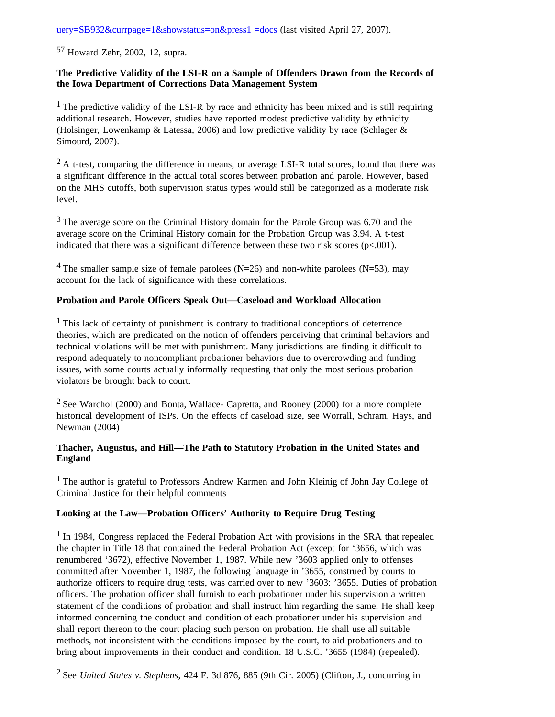uery=SB932&currpage=1&showstatus=on&press1 =docs (last visited April 27, 2007).

57 Howard Zehr, 2002, 12, supra.

### **The Predictive Validity of the LSI-R on a Sample of Offenders Drawn from the Records of the Iowa Department of Corrections Data Management System**

<sup>1</sup> The predictive validity of the LSI-R by race and ethnicity has been mixed and is still requiring additional research. However, studies have reported modest predictive validity by ethnicity (Holsinger, Lowenkamp & Latessa, 2006) and low predictive validity by race (Schlager & Simourd, 2007).

 $2 A$  t-test, comparing the difference in means, or average LSI-R total scores, found that there was a significant difference in the actual total scores between probation and parole. However, based on the MHS cutoffs, both supervision status types would still be categorized as a moderate risk level.

<sup>3</sup> The average score on the Criminal History domain for the Parole Group was 6.70 and the average score on the Criminal History domain for the Probation Group was 3.94. A t-test indicated that there was a significant difference between these two risk scores  $(p<.001)$ .

<sup>4</sup> The smaller sample size of female parolees (N=26) and non-white parolees (N=53), may account for the lack of significance with these correlations.

### **Probation and Parole Officers Speak Out—Caseload and Workload Allocation**

<sup>1</sup> This lack of certainty of punishment is contrary to traditional conceptions of deterrence theories, which are predicated on the notion of offenders perceiving that criminal behaviors and technical violations will be met with punishment. Many jurisdictions are finding it difficult to respond adequately to noncompliant probationer behaviors due to overcrowding and funding issues, with some courts actually informally requesting that only the most serious probation violators be brought back to court.

2 See Warchol (2000) and Bonta, Wallace- Capretta, and Rooney (2000) for a more complete historical development of ISPs. On the effects of caseload size, see Worrall, Schram, Hays, and Newman (2004)

### **Thacher, Augustus, and Hill—The Path to Statutory Probation in the United States and England**

<sup>1</sup> The author is grateful to Professors Andrew Karmen and John Kleinig of John Jay College of Criminal Justice for their helpful comments

### **Looking at the Law—Probation Officers' Authority to Require Drug Testing**

<sup>1</sup> In 1984, Congress replaced the Federal Probation Act with provisions in the SRA that repealed the chapter in Title 18 that contained the Federal Probation Act (except for '3656, which was renumbered '3672), effective November 1, 1987. While new '3603 applied only to offenses committed after November 1, 1987, the following language in '3655, construed by courts to authorize officers to require drug tests, was carried over to new '3603: '3655. Duties of probation officers. The probation officer shall furnish to each probationer under his supervision a written statement of the conditions of probation and shall instruct him regarding the same. He shall keep informed concerning the conduct and condition of each probationer under his supervision and shall report thereon to the court placing such person on probation. He shall use all suitable methods, not inconsistent with the conditions imposed by the court, to aid probationers and to bring about improvements in their conduct and condition. 18 U.S.C. '3655 (1984) (repealed).

2 See *United States v. Stephens*, 424 F. 3d 876, 885 (9th Cir. 2005) (Clifton, J., concurring in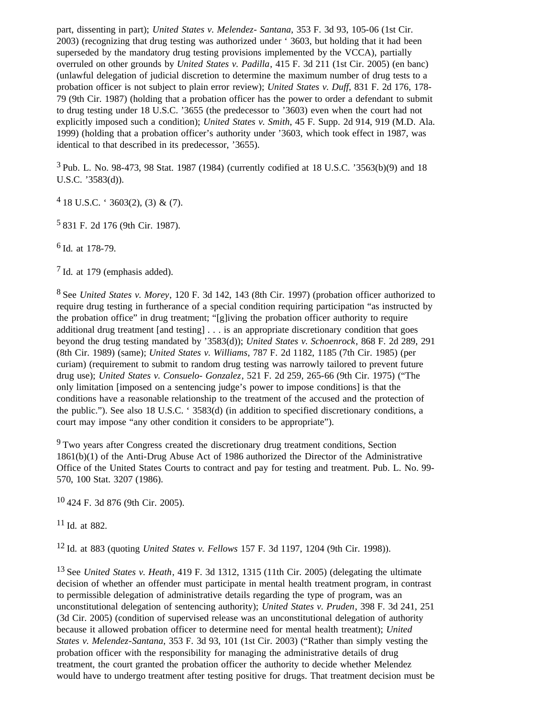part, dissenting in part); *United States v. Melendez- Santana*, 353 F. 3d 93, 105-06 (1st Cir. 2003) (recognizing that drug testing was authorized under ' 3603, but holding that it had been superseded by the mandatory drug testing provisions implemented by the VCCA), partially overruled on other grounds by *United States v. Padilla*, 415 F. 3d 211 (1st Cir. 2005) (en banc) (unlawful delegation of judicial discretion to determine the maximum number of drug tests to a probation officer is not subject to plain error review); *United States v. Duff*, 831 F. 2d 176, 178- 79 (9th Cir. 1987) (holding that a probation officer has the power to order a defendant to submit to drug testing under 18 U.S.C. '3655 (the predecessor to '3603) even when the court had not explicitly imposed such a condition); *United States v. Smith*, 45 F. Supp. 2d 914, 919 (M.D. Ala. 1999) (holding that a probation officer's authority under '3603, which took effect in 1987, was identical to that described in its predecessor, '3655).

 $3$  Pub. L. No. 98-473, 98 Stat. 1987 (1984) (currently codified at 18 U.S.C.  $3563(b)(9)$  and 18 U.S.C. '3583(d)).

 $4$  18 U.S.C. ' 3603(2), (3) & (7).

5 831 F. 2d 176 (9th Cir. 1987).

6 Id. at 178-79.

7 Id. at 179 (emphasis added).

8 See *United States v. Morey*, 120 F. 3d 142, 143 (8th Cir. 1997) (probation officer authorized to require drug testing in furtherance of a special condition requiring participation "as instructed by the probation office" in drug treatment; "[g]iving the probation officer authority to require additional drug treatment [and testing] . . . is an appropriate discretionary condition that goes beyond the drug testing mandated by '3583(d)); *United States v. Schoenrock*, 868 F. 2d 289, 291 (8th Cir. 1989) (same); *United States v. Williams*, 787 F. 2d 1182, 1185 (7th Cir. 1985) (per curiam) (requirement to submit to random drug testing was narrowly tailored to prevent future drug use); *United States v. Consuelo- Gonzalez*, 521 F. 2d 259, 265-66 (9th Cir. 1975) ("The only limitation [imposed on a sentencing judge's power to impose conditions] is that the conditions have a reasonable relationship to the treatment of the accused and the protection of the public."). See also 18 U.S.C. ' 3583(d) (in addition to specified discretionary conditions, a court may impose "any other condition it considers to be appropriate").

<sup>9</sup> Two years after Congress created the discretionary drug treatment conditions, Section 1861(b)(1) of the Anti-Drug Abuse Act of 1986 authorized the Director of the Administrative Office of the United States Courts to contract and pay for testing and treatment. Pub. L. No. 99- 570, 100 Stat. 3207 (1986).

10 424 F. 3d 876 (9th Cir. 2005).

11 Id. at 882.

12 Id. at 883 (quoting *United States v. Fellows* 157 F. 3d 1197, 1204 (9th Cir. 1998)).

13 See *United States v. Heath*, 419 F. 3d 1312, 1315 (11th Cir. 2005) (delegating the ultimate decision of whether an offender must participate in mental health treatment program, in contrast to permissible delegation of administrative details regarding the type of program, was an unconstitutional delegation of sentencing authority); *United States v. Pruden*, 398 F. 3d 241, 251 (3d Cir. 2005) (condition of supervised release was an unconstitutional delegation of authority because it allowed probation officer to determine need for mental health treatment); *United States v. Melendez-Santana*, 353 F. 3d 93, 101 (1st Cir. 2003) ("Rather than simply vesting the probation officer with the responsibility for managing the administrative details of drug treatment, the court granted the probation officer the authority to decide whether Melendez would have to undergo treatment after testing positive for drugs. That treatment decision must be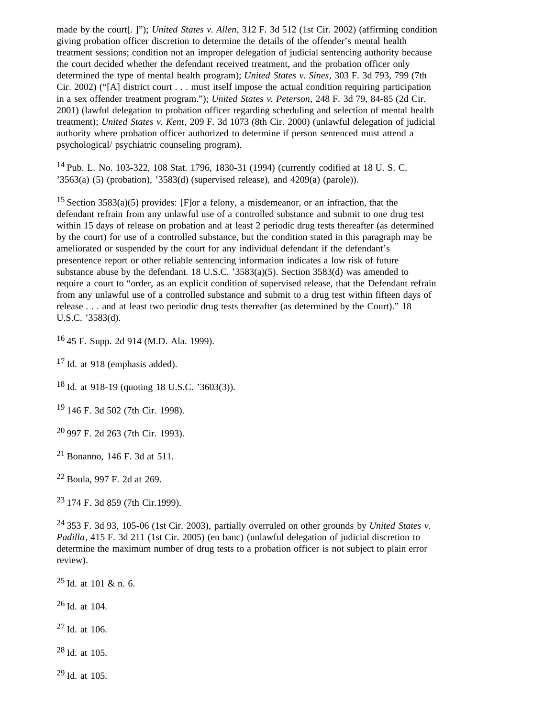made by the court[. ]"); *United States v. Allen*, 312 F. 3d 512 (1st Cir. 2002) (affirming condition giving probation officer discretion to determine the details of the offender's mental health treatment sessions; condition not an improper delegation of judicial sentencing authority because the court decided whether the defendant received treatment, and the probation officer only determined the type of mental health program); *United States v. Sines*, 303 F. 3d 793, 799 (7th Cir. 2002) ("[A] district court . . . must itself impose the actual condition requiring participation in a sex offender treatment program."); *United States v. Peterson*, 248 F. 3d 79, 84-85 (2d Cir. 2001) (lawful delegation to probation officer regarding scheduling and selection of mental health treatment); *United States v. Kent*, 209 F. 3d 1073 (8th Cir. 2000) (unlawful delegation of judicial authority where probation officer authorized to determine if person sentenced must attend a psychological/ psychiatric counseling program).

14 Pub. L. No. 103-322, 108 Stat. 1796, 1830-31 (1994) (currently codified at 18 U. S. C. '3563(a) (5) (probation), '3583(d) (supervised release), and  $4209(a)$  (parole)).

<sup>15</sup> Section 3583(a)(5) provides: [F]or a felony, a misdemeanor, or an infraction, that the defendant refrain from any unlawful use of a controlled substance and submit to one drug test within 15 days of release on probation and at least 2 periodic drug tests thereafter (as determined by the court) for use of a controlled substance, but the condition stated in this paragraph may be ameliorated or suspended by the court for any individual defendant if the defendant's presentence report or other reliable sentencing information indicates a low risk of future substance abuse by the defendant. 18 U.S.C. '3583(a)(5). Section 3583(d) was amended to require a court to "order, as an explicit condition of supervised release, that the Defendant refrain from any unlawful use of a controlled substance and submit to a drug test within fifteen days of release . . . and at least two periodic drug tests thereafter (as determined by the Court)." 18 U.S.C. '3583(d).

16 45 F. Supp. 2d 914 (M.D. Ala. 1999).

 $17$  Id. at 918 (emphasis added).

18 Id. at 918-19 (quoting 18 U.S.C. '3603(3)).

19 146 F. 3d 502 (7th Cir. 1998).

20 997 F. 2d 263 (7th Cir. 1993).

21 Bonanno, 146 F. 3d at 511.

22 Boula, 997 F. 2d at 269.

23 174 F. 3d 859 (7th Cir.1999).

24 353 F. 3d 93, 105-06 (1st Cir. 2003), partially overruled on other grounds by *United States v. Padilla*, 415 F. 3d 211 (1st Cir. 2005) (en banc) (unlawful delegation of judicial discretion to determine the maximum number of drug tests to a probation officer is not subject to plain error review).

25 Id. at 101 & n. 6.

26 Id. at 104.

27 Id. at 106.

28 Id. at 105.

 $29$  Id. at 105.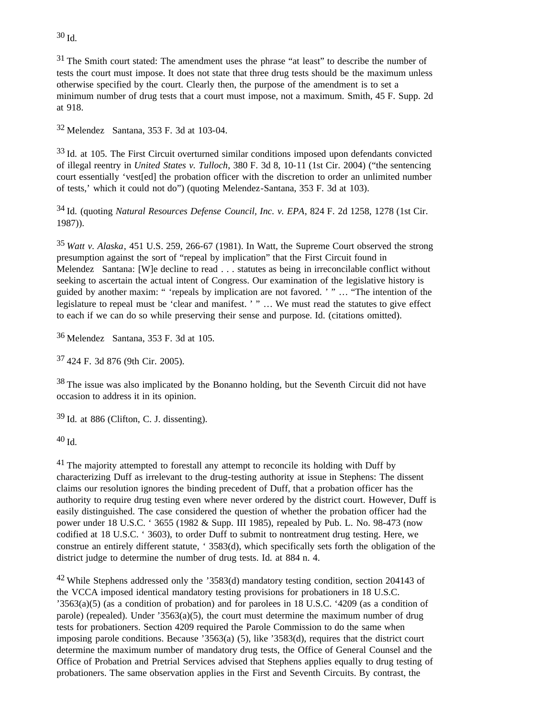<sup>31</sup> The Smith court stated: The amendment uses the phrase "at least" to describe the number of tests the court must impose. It does not state that three drug tests should be the maximum unless otherwise specified by the court. Clearly then, the purpose of the amendment is to set a minimum number of drug tests that a court must impose, not a maximum. Smith, 45 F. Supp. 2d at 918.

32 Melendez Santana, 353 F. 3d at 103-04.

33 Id. at 105. The First Circuit overturned similar conditions imposed upon defendants convicted of illegal reentry in *United States v. Tulloch*, 380 F. 3d 8, 10-11 (1st Cir. 2004) ("the sentencing court essentially 'vest[ed] the probation officer with the discretion to order an unlimited number of tests,' which it could not do") (quoting Melendez-Santana, 353 F. 3d at 103).

34 Id. (quoting *Natural Resources Defense Council, Inc. v. EPA*, 824 F. 2d 1258, 1278 (1st Cir. 1987)).

<sup>35</sup>*Watt v. Alaska*, 451 U.S. 259, 266-67 (1981). In Watt, the Supreme Court observed the strong presumption against the sort of "repeal by implication" that the First Circuit found in Melendez Santana: [W]e decline to read . . . statutes as being in irreconcilable conflict without seeking to ascertain the actual intent of Congress. Our examination of the legislative history is guided by another maxim: " 'repeals by implication are not favored. ' " … "The intention of the legislature to repeal must be 'clear and manifest. ' " … We must read the statutes to give effect to each if we can do so while preserving their sense and purpose. Id. (citations omitted).

36 Melendez Santana, 353 F. 3d at 105.

37 424 F. 3d 876 (9th Cir. 2005).

<sup>38</sup> The issue was also implicated by the Bonanno holding, but the Seventh Circuit did not have occasion to address it in its opinion.

39 Id. at 886 (Clifton, C. J. dissenting).

40 Id.

<sup>41</sup> The majority attempted to forestall any attempt to reconcile its holding with Duff by characterizing Duff as irrelevant to the drug-testing authority at issue in Stephens: The dissent claims our resolution ignores the binding precedent of Duff, that a probation officer has the authority to require drug testing even where never ordered by the district court. However, Duff is easily distinguished. The case considered the question of whether the probation officer had the power under 18 U.S.C. ' 3655 (1982 & Supp. III 1985), repealed by Pub. L. No. 98-473 (now codified at 18 U.S.C. ' 3603), to order Duff to submit to nontreatment drug testing. Here, we construe an entirely different statute, ' 3583(d), which specifically sets forth the obligation of the district judge to determine the number of drug tests. Id. at 884 n. 4.

42 While Stephens addressed only the '3583(d) mandatory testing condition, section 204143 of the VCCA imposed identical mandatory testing provisions for probationers in 18 U.S.C. '3563(a)(5) (as a condition of probation) and for parolees in 18 U.S.C. '4209 (as a condition of parole) (repealed). Under  $3563(a)(5)$ , the court must determine the maximum number of drug tests for probationers. Section 4209 required the Parole Commission to do the same when imposing parole conditions. Because '3563(a) (5), like '3583(d), requires that the district court determine the maximum number of mandatory drug tests, the Office of General Counsel and the Office of Probation and Pretrial Services advised that Stephens applies equally to drug testing of probationers. The same observation applies in the First and Seventh Circuits. By contrast, the

30 Id.